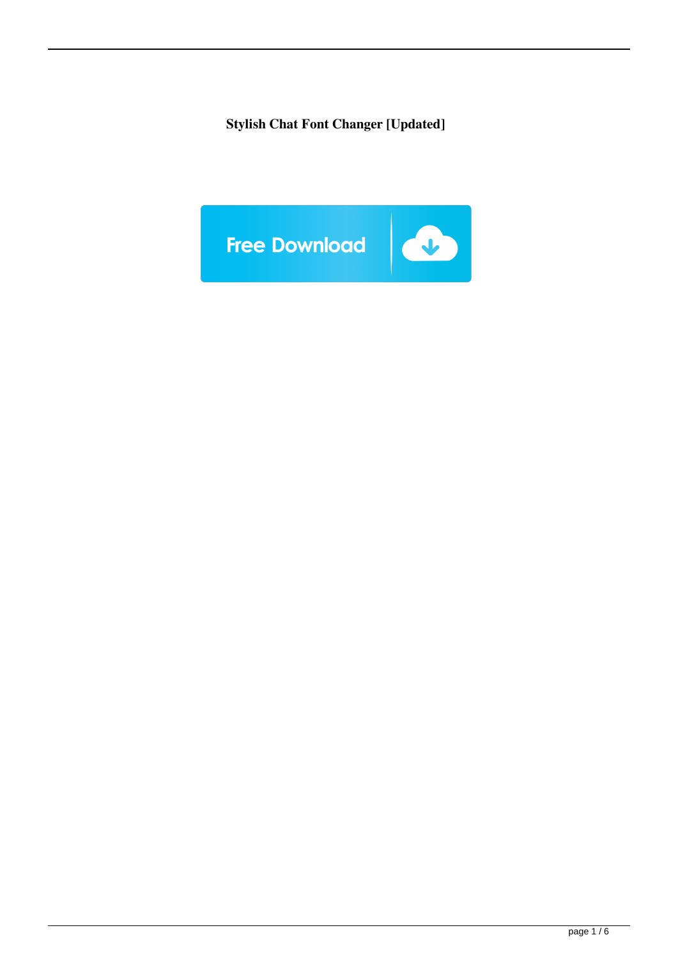**Stylish Chat Font Changer [Updated]**

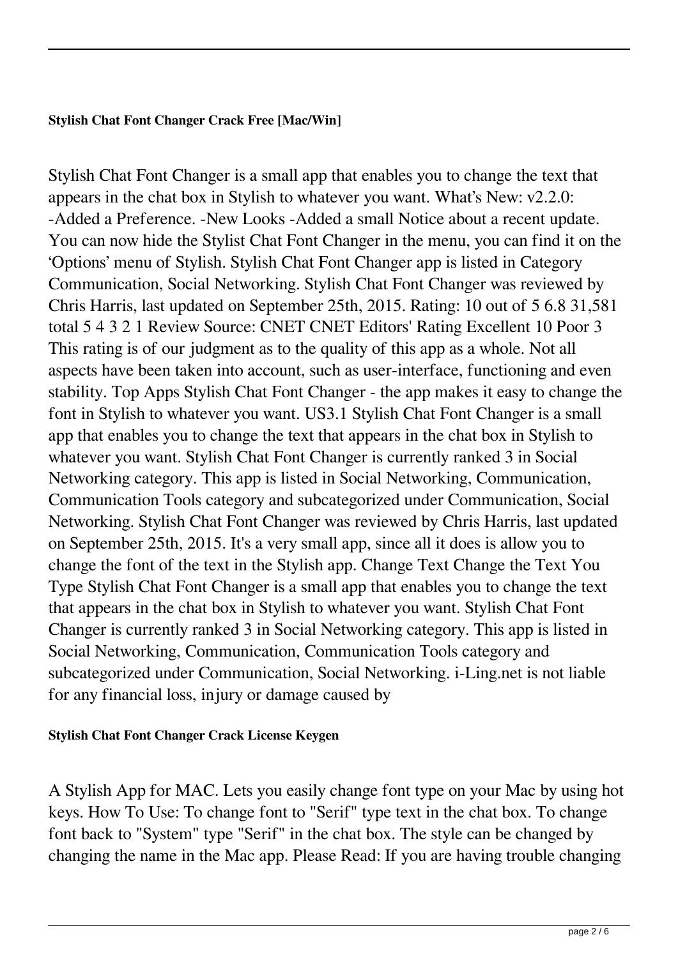## **Stylish Chat Font Changer Crack Free [Mac/Win]**

Stylish Chat Font Changer is a small app that enables you to change the text that appears in the chat box in Stylish to whatever you want. What's New: v2.2.0: -Added a Preference. -New Looks -Added a small Notice about a recent update. You can now hide the Stylist Chat Font Changer in the menu, you can find it on the 'Options' menu of Stylish. Stylish Chat Font Changer app is listed in Category Communication, Social Networking. Stylish Chat Font Changer was reviewed by Chris Harris, last updated on September 25th, 2015. Rating: 10 out of 5 6.8 31,581 total 5 4 3 2 1 Review Source: CNET CNET Editors' Rating Excellent 10 Poor 3 This rating is of our judgment as to the quality of this app as a whole. Not all aspects have been taken into account, such as user-interface, functioning and even stability. Top Apps Stylish Chat Font Changer - the app makes it easy to change the font in Stylish to whatever you want. US3.1 Stylish Chat Font Changer is a small app that enables you to change the text that appears in the chat box in Stylish to whatever you want. Stylish Chat Font Changer is currently ranked 3 in Social Networking category. This app is listed in Social Networking, Communication, Communication Tools category and subcategorized under Communication, Social Networking. Stylish Chat Font Changer was reviewed by Chris Harris, last updated on September 25th, 2015. It's a very small app, since all it does is allow you to change the font of the text in the Stylish app. Change Text Change the Text You Type Stylish Chat Font Changer is a small app that enables you to change the text that appears in the chat box in Stylish to whatever you want. Stylish Chat Font Changer is currently ranked 3 in Social Networking category. This app is listed in Social Networking, Communication, Communication Tools category and subcategorized under Communication, Social Networking. i-Ling.net is not liable for any financial loss, injury or damage caused by

## **Stylish Chat Font Changer Crack License Keygen**

A Stylish App for MAC. Lets you easily change font type on your Mac by using hot keys. How To Use: To change font to "Serif" type text in the chat box. To change font back to "System" type "Serif" in the chat box. The style can be changed by changing the name in the Mac app. Please Read: If you are having trouble changing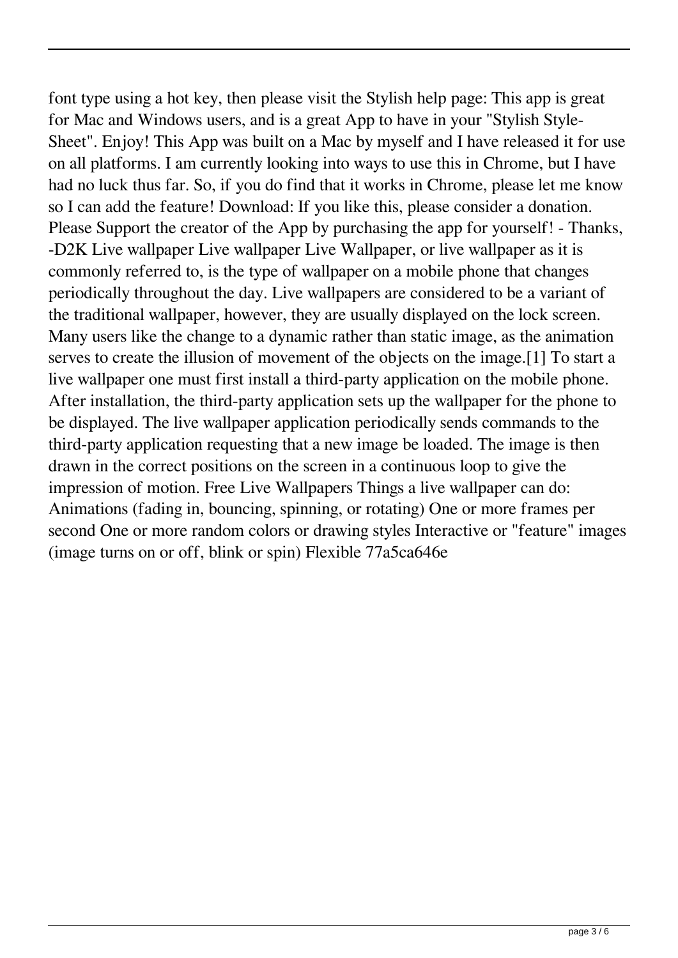font type using a hot key, then please visit the Stylish help page: This app is great for Mac and Windows users, and is a great App to have in your "Stylish Style-Sheet". Enjoy! This App was built on a Mac by myself and I have released it for use on all platforms. I am currently looking into ways to use this in Chrome, but I have had no luck thus far. So, if you do find that it works in Chrome, please let me know so I can add the feature! Download: If you like this, please consider a donation. Please Support the creator of the App by purchasing the app for yourself! - Thanks, -D2K Live wallpaper Live wallpaper Live Wallpaper, or live wallpaper as it is commonly referred to, is the type of wallpaper on a mobile phone that changes periodically throughout the day. Live wallpapers are considered to be a variant of the traditional wallpaper, however, they are usually displayed on the lock screen. Many users like the change to a dynamic rather than static image, as the animation serves to create the illusion of movement of the objects on the image.[1] To start a live wallpaper one must first install a third-party application on the mobile phone. After installation, the third-party application sets up the wallpaper for the phone to be displayed. The live wallpaper application periodically sends commands to the third-party application requesting that a new image be loaded. The image is then drawn in the correct positions on the screen in a continuous loop to give the impression of motion. Free Live Wallpapers Things a live wallpaper can do: Animations (fading in, bouncing, spinning, or rotating) One or more frames per second One or more random colors or drawing styles Interactive or "feature" images (image turns on or off, blink or spin) Flexible 77a5ca646e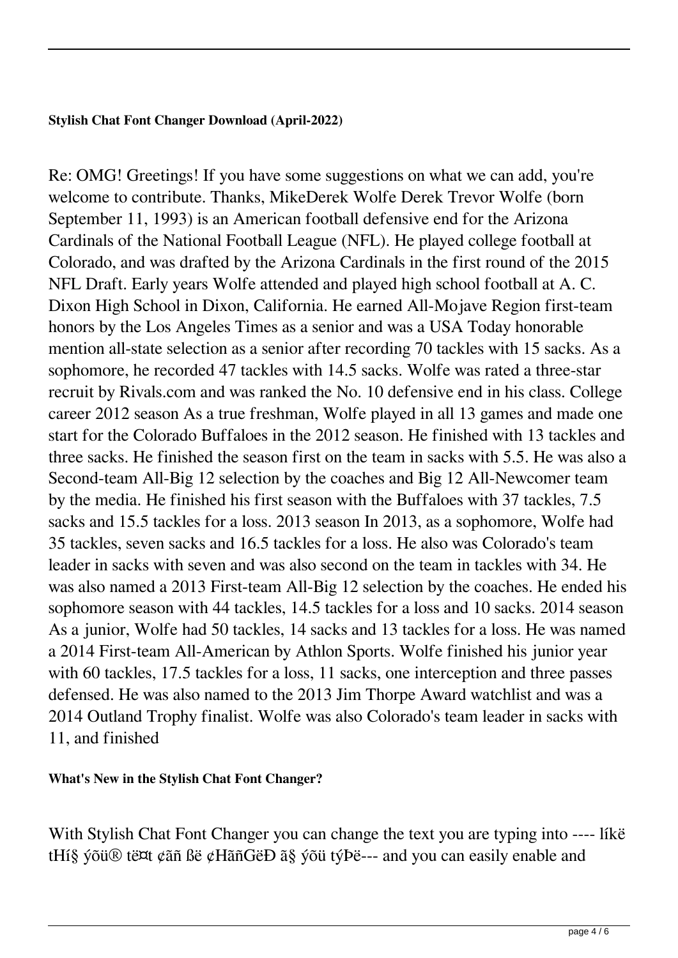## **Stylish Chat Font Changer Download (April-2022)**

Re: OMG! Greetings! If you have some suggestions on what we can add, you're welcome to contribute. Thanks, MikeDerek Wolfe Derek Trevor Wolfe (born September 11, 1993) is an American football defensive end for the Arizona Cardinals of the National Football League (NFL). He played college football at Colorado, and was drafted by the Arizona Cardinals in the first round of the 2015 NFL Draft. Early years Wolfe attended and played high school football at A. C. Dixon High School in Dixon, California. He earned All-Mojave Region first-team honors by the Los Angeles Times as a senior and was a USA Today honorable mention all-state selection as a senior after recording 70 tackles with 15 sacks. As a sophomore, he recorded 47 tackles with 14.5 sacks. Wolfe was rated a three-star recruit by Rivals.com and was ranked the No. 10 defensive end in his class. College career 2012 season As a true freshman, Wolfe played in all 13 games and made one start for the Colorado Buffaloes in the 2012 season. He finished with 13 tackles and three sacks. He finished the season first on the team in sacks with 5.5. He was also a Second-team All-Big 12 selection by the coaches and Big 12 All-Newcomer team by the media. He finished his first season with the Buffaloes with 37 tackles, 7.5 sacks and 15.5 tackles for a loss. 2013 season In 2013, as a sophomore, Wolfe had 35 tackles, seven sacks and 16.5 tackles for a loss. He also was Colorado's team leader in sacks with seven and was also second on the team in tackles with 34. He was also named a 2013 First-team All-Big 12 selection by the coaches. He ended his sophomore season with 44 tackles, 14.5 tackles for a loss and 10 sacks. 2014 season As a junior, Wolfe had 50 tackles, 14 sacks and 13 tackles for a loss. He was named a 2014 First-team All-American by Athlon Sports. Wolfe finished his junior year with 60 tackles, 17.5 tackles for a loss, 11 sacks, one interception and three passes defensed. He was also named to the 2013 Jim Thorpe Award watchlist and was a 2014 Outland Trophy finalist. Wolfe was also Colorado's team leader in sacks with 11, and finished

**What's New in the Stylish Chat Font Changer?**

With Stylish Chat Font Changer you can change the text you are typing into ---- líkë tHí§ ýõü® të¤t ¢ãñ ßë ¢HãñGëÐ ã§ ýõü týÞë--- and you can easily enable and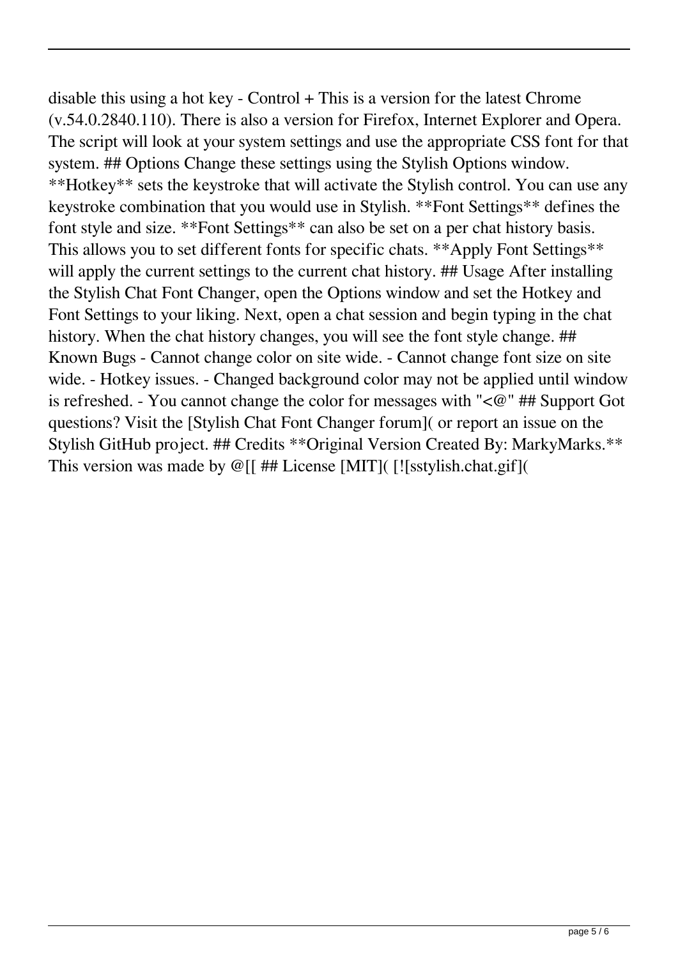disable this using a hot key - Control + This is a version for the latest Chrome (v.54.0.2840.110). There is also a version for Firefox, Internet Explorer and Opera. The script will look at your system settings and use the appropriate CSS font for that system. ## Options Change these settings using the Stylish Options window. \*\*Hotkey\*\* sets the keystroke that will activate the Stylish control. You can use any keystroke combination that you would use in Stylish. \*\*Font Settings\*\* defines the font style and size. \*\*Font Settings\*\* can also be set on a per chat history basis. This allows you to set different fonts for specific chats. \*\*Apply Font Settings\*\* will apply the current settings to the current chat history. ## Usage After installing the Stylish Chat Font Changer, open the Options window and set the Hotkey and Font Settings to your liking. Next, open a chat session and begin typing in the chat history. When the chat history changes, you will see the font style change. ## Known Bugs - Cannot change color on site wide. - Cannot change font size on site wide. - Hotkey issues. - Changed background color may not be applied until window is refreshed. - You cannot change the color for messages with "<@" ## Support Got questions? Visit the [Stylish Chat Font Changer forum]( or report an issue on the Stylish GitHub project. ## Credits \*\*Original Version Created By: MarkyMarks.\*\* This version was made by @[[ ## License [MIT]( [![sstylish.chat.gif](